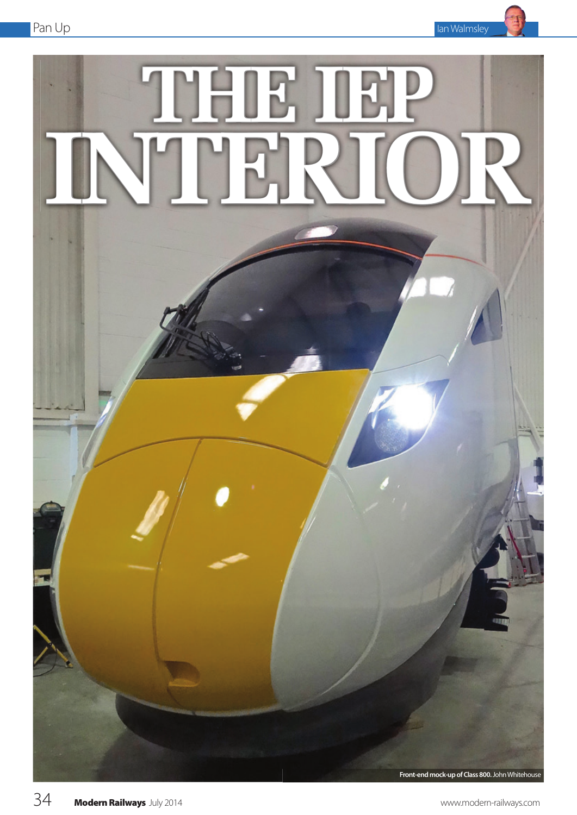

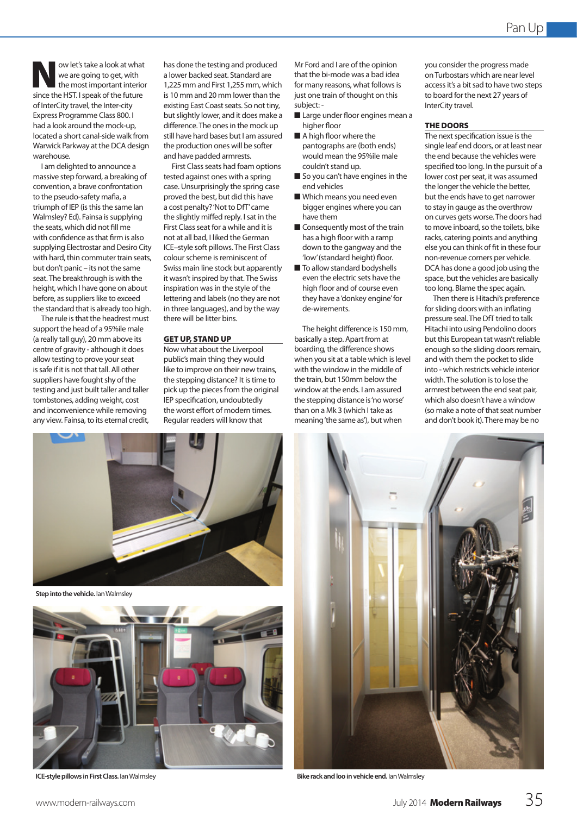ow let's take a look at what we are going to get, with the most important interior since the HST. I speak of the future of InterCity travel, the Inter-city Express Programme Class 800. I had a look around the mock-up, located a short canal-side walk from Warwick Parkway at the DCA design warehouse.

I am delighted to announce a massive step forward, a breaking of convention, a brave confrontation to the pseudo-safety mafia, a triumph of IEP (is this the same Ian Walmsley? Ed). Fainsa is supplying the seats, which did not fill me with confidence as that firm is also supplying Electrostar and Desiro City with hard, thin commuter train seats, but don't panic – its not the same seat. The breakthrough is with the height, which I have gone on about before, as suppliers like to exceed the standard that is already too high.

The rule is that the headrest must support the head of a 95%ile male (a really tall guy), 20 mm above its centre of gravity - although it does allow testing to prove your seat is safe if it is not that tall. All other suppliers have fought shy of the testing and just built taller and taller tombstones, adding weight, cost and inconvenience while removing any view. Fainsa, to its eternal credit,

has done the testing and produced a lower backed seat. Standard are 1,225 mm and First 1,255 mm, which is 10 mm and 20 mm lower than the existing East Coast seats. So not tiny, but slightly lower, and it does make a difference. The ones in the mock up still have hard bases but I am assured the production ones will be softer and have padded armrests.

First Class seats had foam options tested against ones with a spring case. Unsurprisingly the spring case proved the best, but did this have a cost penalty? 'Not to DfT' came the slightly miffed reply. I sat in the First Class seat for a while and it is not at all bad, I liked the German ICE–style soft pillows. The First Class colour scheme is reminiscent of Swiss main line stock but apparently it wasn't inspired by that. The Swiss inspiration was in the style of the lettering and labels (no they are not in three languages), and by the way there will be litter bins.

## GET UP, STAND UP

Now what about the Liverpool public's main thing they would like to improve on their new trains, the stepping distance? It is time to pick up the pieces from the original IEP specification, undoubtedly the worst effort of modern times. Regular readers will know that

**Step into the vehicle.** Ian Walmsley



Mr Ford and I are of the opinion that the bi-mode was a bad idea for many reasons, what follows is just one train of thought on this subject: -

- $\blacksquare$  Large under floor engines mean a higher floor
- $\blacksquare$  A high floor where the pantographs are (both ends) would mean the 95%ile male couldn't stand up.
- $\blacksquare$  So you can't have engines in the end vehicles
- $\blacksquare$  Which means you need even bigger engines where you can have them
- $\blacksquare$  Consequently most of the train has a high floor with a ramp down to the gangway and the 'low' (standard height) floor.
- $\blacksquare$  To allow standard bodyshells even the electric sets have the high floor and of course even they have a 'donkey engine' for de-wirements.

The height difference is 150 mm, basically a step. Apart from at boarding, the difference shows when you sit at a table which is level with the window in the middle of the train, but 150mm below the window at the ends. I am assured the stepping distance is 'no worse' than on a Mk 3 (which I take as meaning 'the same as'), but when

you consider the progress made on Turbostars which are near level access it's a bit sad to have two steps to board for the next 27 years of InterCity travel.

# THE DOORS

The next specification issue is the single leaf end doors, or at least near the end because the vehicles were specified too long. In the pursuit of a lower cost per seat, it was assumed the longer the vehicle the better, but the ends have to get narrower to stay in gauge as the overthrow on curves gets worse. The doors had to move inboard, so the toilets, bike racks, catering points and anything else you can think of fit in these four non-revenue corners per vehicle. DCA has done a good job using the space, but the vehicles are basically too long. Blame the spec again.

Then there is Hitachi's preference for sliding doors with an inflating pressure seal. The DfT tried to talk Hitachi into using Pendolino doors but this European tat wasn't reliable enough so the sliding doors remain, and with them the pocket to slide into - which restricts vehicle interior width. The solution is to lose the armrest between the end seat pair, which also doesn't have a window (so make a note of that seat number and don't book it). There may be no



**ICE-style pillows in First Class.** Ian Walmsley **Bike rack and loo in vehicle end.** Ian Walmsley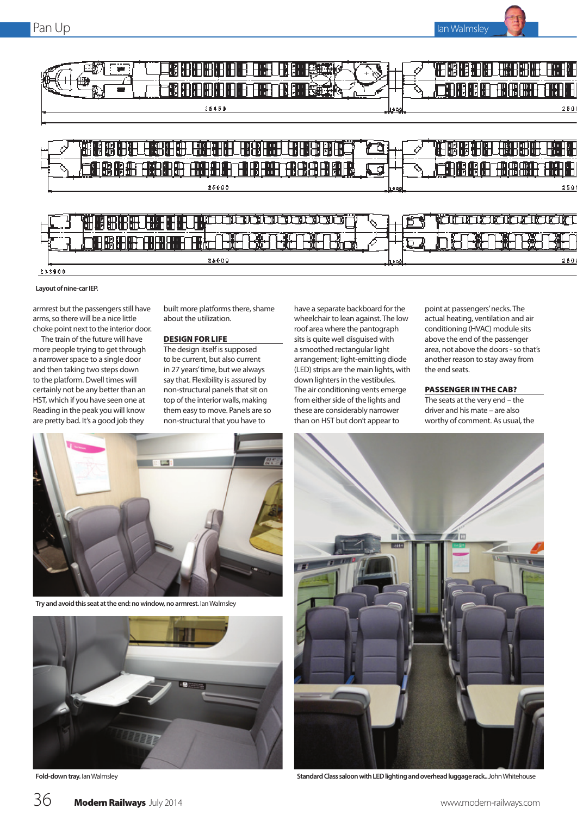

#### **Layout of nine-car IEP.**

armrest but the passengers still have arms, so there will be a nice little choke point next to the interior door.

The train of the future will have more people trying to get through a narrower space to a single door and then taking two steps down to the platform. Dwell times will certainly not be any better than an HST, which if you have seen one at Reading in the peak you will know are pretty bad. It's a good job they

built more platforms there, shame about the utilization.

### DESIGN FOR LIFE

The design itself is supposed to be current, but also current in 27 years' time, but we always say that. Flexibility is assured by non-structural panels that sit on top of the interior walls, making them easy to move. Panels are so non-structural that you have to

have a separate backboard for the wheelchair to lean against. The low roof area where the pantograph sits is quite well disguised with a smoothed rectangular light arrangement; light-emitting diode (LED) strips are the main lights, with down lighters in the vestibules. The air conditioning vents emerge from either side of the lights and these are considerably narrower than on HST but don't appear to

point at passengers' necks. The actual heating, ventilation and air conditioning (HVAC) module sits above the end of the passenger area, not above the doors - so that's another reason to stay away from the end seats.

# PASSENGER IN THE CAB?

The seats at the very end – the driver and his mate – are also worthy of comment. As usual, the



**Try and avoid this seat at the end: no window, no armrest.** Ian Walmsley





**Fold-down tray.** Ian Walmsley **Standard Class saloon with LED lighting and overhead luggage rack..** John Whitehouse